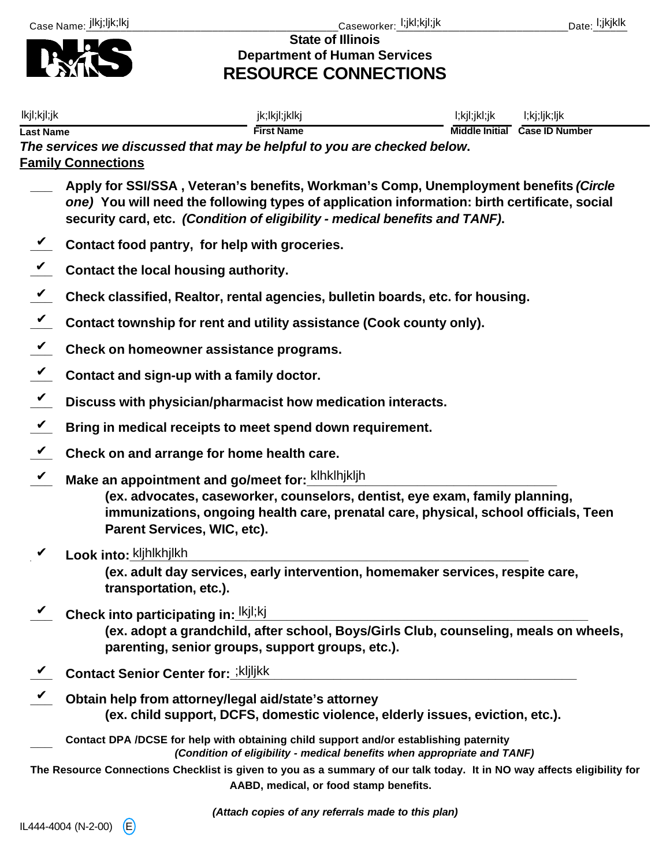

**State of Illinois Department of Human Services RESOURCE CONNECTIONS**

| lkjl;kjl;jk                |                                                                                                                                                                                                                                                                     | jk;lkjl;jklkj                                                                                                                            | l;kjl;jkl;jk | l;kj;ljk;ljk                  |  |  |  |
|----------------------------|---------------------------------------------------------------------------------------------------------------------------------------------------------------------------------------------------------------------------------------------------------------------|------------------------------------------------------------------------------------------------------------------------------------------|--------------|-------------------------------|--|--|--|
| <b>Last Name</b>           | The services we discussed that may be helpful to you are checked below.<br><b>Family Connections</b>                                                                                                                                                                | <b>First Name</b>                                                                                                                        |              | Middle Initial Case ID Number |  |  |  |
|                            | Apply for SSI/SSA, Veteran's benefits, Workman's Comp, Unemployment benefits (Circle<br>one) You will need the following types of application information: birth certificate, social<br>security card, etc. (Condition of eligibility - medical benefits and TANF). |                                                                                                                                          |              |                               |  |  |  |
|                            | Contact food pantry, for help with groceries.                                                                                                                                                                                                                       |                                                                                                                                          |              |                               |  |  |  |
|                            | Contact the local housing authority.                                                                                                                                                                                                                                |                                                                                                                                          |              |                               |  |  |  |
| $\boldsymbol{\mathcal{U}}$ | Check classified, Realtor, rental agencies, bulletin boards, etc. for housing.                                                                                                                                                                                      |                                                                                                                                          |              |                               |  |  |  |
| $\boldsymbol{\mathcal{U}}$ | Contact township for rent and utility assistance (Cook county only).                                                                                                                                                                                                |                                                                                                                                          |              |                               |  |  |  |
| $\boldsymbol{\mathcal{C}}$ | Check on homeowner assistance programs.                                                                                                                                                                                                                             |                                                                                                                                          |              |                               |  |  |  |
| $\boldsymbol{\mathcal{U}}$ | Contact and sign-up with a family doctor.                                                                                                                                                                                                                           |                                                                                                                                          |              |                               |  |  |  |
| $\boldsymbol{\mathcal{U}}$ | Discuss with physician/pharmacist how medication interacts.                                                                                                                                                                                                         |                                                                                                                                          |              |                               |  |  |  |
| $\checkmark$               | Bring in medical receipts to meet spend down requirement.                                                                                                                                                                                                           |                                                                                                                                          |              |                               |  |  |  |
| $\checkmark$               | Check on and arrange for home health care.                                                                                                                                                                                                                          |                                                                                                                                          |              |                               |  |  |  |
| $\checkmark$               | Make an appointment and go/meet for: klhklhjkljh<br>(ex. advocates, caseworker, counselors, dentist, eye exam, family planning,<br>immunizations, ongoing health care, prenatal care, physical, school officials, Teen<br>Parent Services, WIC, etc).               |                                                                                                                                          |              |                               |  |  |  |
|                            | Look into: kljhlkhjlkh                                                                                                                                                                                                                                              |                                                                                                                                          |              |                               |  |  |  |
|                            | transportation, etc.).                                                                                                                                                                                                                                              | (ex. adult day services, early intervention, homemaker services, respite care,                                                           |              |                               |  |  |  |
|                            | Check into participating in: Ikjl;kj                                                                                                                                                                                                                                | (ex. adopt a grandchild, after school, Boys/Girls Club, counseling, meals on wheels,<br>parenting, senior groups, support groups, etc.). |              |                               |  |  |  |
|                            | <b>Contact Senior Center for: ; kljljkk</b>                                                                                                                                                                                                                         |                                                                                                                                          |              |                               |  |  |  |
|                            | Obtain help from attorney/legal aid/state's attorney                                                                                                                                                                                                                | (ex. child support, DCFS, domestic violence, elderly issues, eviction, etc.).                                                            |              |                               |  |  |  |
|                            | Contact DPA /DCSE for help with obtaining child support and/or establishing paternity                                                                                                                                                                               | (Condition of eligibility - medical benefits when appropriate and TANF)                                                                  |              |                               |  |  |  |
|                            | The Resource Connections Checklist is given to you as a summary of our talk today. It in NO way affects eligibility for                                                                                                                                             | AABD, medical, or food stamp benefits.                                                                                                   |              |                               |  |  |  |

*(Attach copies of any referrals made to this plan)*